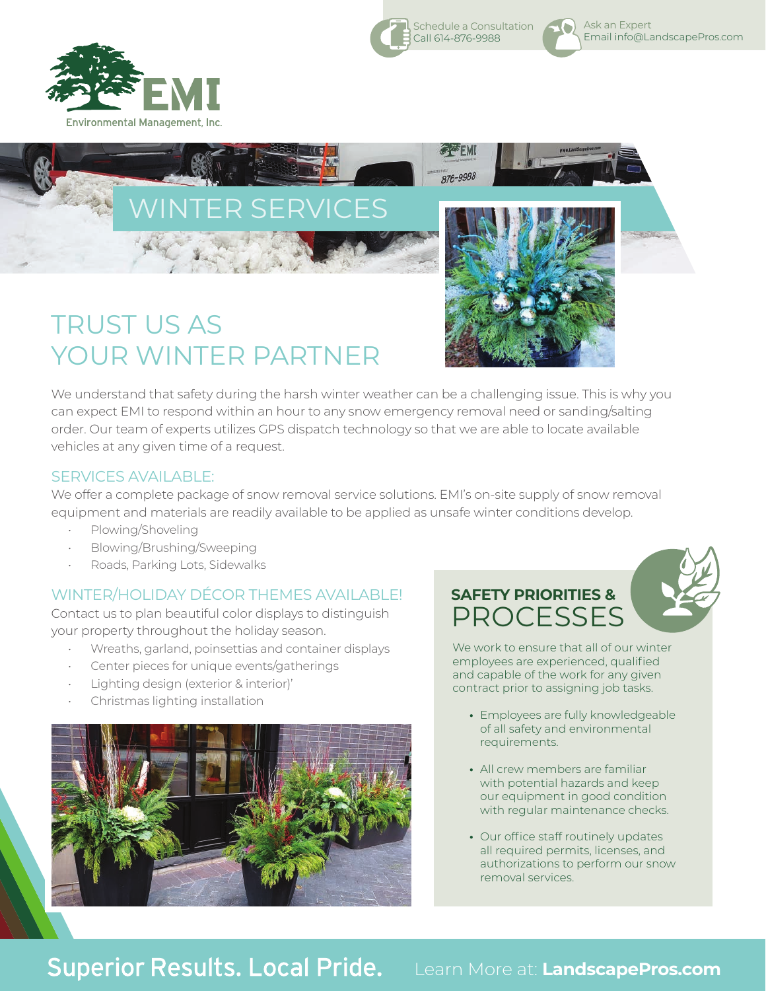



Call 614-876-9988

We understand that safety during the harsh winter weather can be a challenging issue. This is why you can expect EMI to respond within an hour to any snow emergency removal need or sanding/salting order. Our team of experts utilizes GPS dispatch technology so that we are able to locate available vehicles at any given time of a request.

## SERVICES AVAILABLE:

We offer a complete package of snow removal service solutions. EMI's on-site supply of snow removal equipment and materials are readily available to be applied as unsafe winter conditions develop.

- Plowing/Shoveling
- Blowing/Brushing/Sweeping
- Roads, Parking Lots, Sidewalks

## WINTER/HOLIDAY DÉCOR THEMES AVAILABLE!

Contact us to plan beautiful color displays to distinguish your property throughout the holiday season.

- Wreaths, garland, poinsettias and container displays
- Center pieces for unique events/gatherings
- Lighting design (exterior & interior)'
- Christmas lighting installation



## **SAFETY PRIORITIES & PROCESSES**

We work to ensure that all of our winter employees are experienced, qualified and capable of the work for any given contract prior to assigning job tasks.

- **•** Employees are fully knowledgeable of all safety and environmental requirements.
- **•** All crew members are familiar with potential hazards and keep our equipment in good condition with regular maintenance checks.
- **•** Our office staff routinely updates all required permits, licenses, and authorizations to perform our snow removal services.

Schedule a Consultation Ask an Expert O) Email info@LandscapePros.com

**Superior Results. Local Pride.** 

Learn More at: **LandscapePros.com**